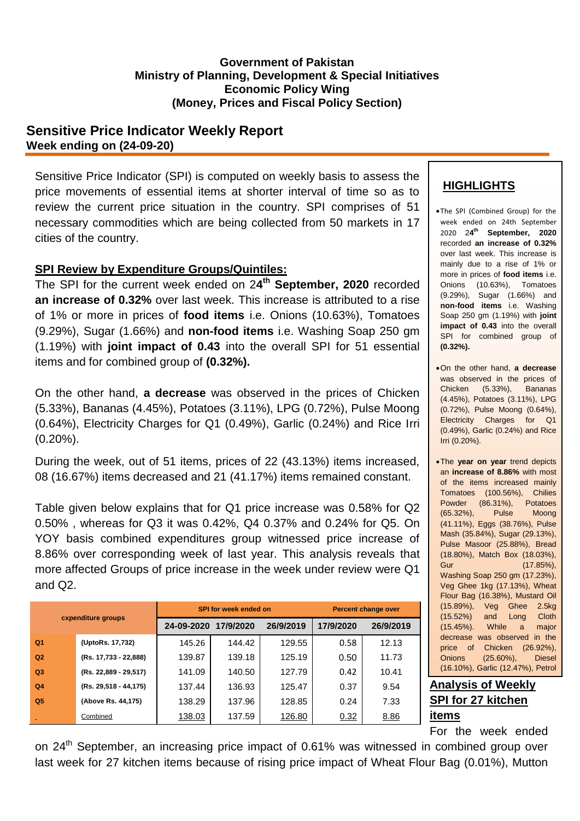#### **Government of Pakistan Ministry of Planning, Development & Special Initiatives Economic Policy Wing (Money, Prices and Fiscal Policy Section)**

### **Sensitive Price Indicator Weekly Report Week ending on (24-09-20)**

Sensitive Price Indicator (SPI) is computed on weekly basis to assess the price movements of essential items at shorter interval of time so as to review the current price situation in the country. SPI comprises of 51 necessary commodities which are being collected from 50 markets in 17 cities of the country.

### **SPI Review by Expenditure Groups/Quintiles:**

The SPI for the current week ended on 2**4 th September, 2020** recorded **an increase of 0.32%** over last week. This increase is attributed to a rise of 1% or more in prices of **food items** i.e. Onions (10.63%), Tomatoes (9.29%), Sugar (1.66%) and **non-food items** i.e. Washing Soap 250 gm (1.19%) with **joint impact of 0.43** into the overall SPI for 51 essential items and for combined group of **(0.32%).**

On the other hand, **a decrease** was observed in the prices of Chicken (5.33%), Bananas (4.45%), Potatoes (3.11%), LPG (0.72%), Pulse Moong (0.64%), Electricity Charges for Q1 (0.49%), Garlic (0.24%) and Rice Irri (0.20%).

During the week, out of 51 items, prices of 22 (43.13%) items increased, 08 (16.67%) items decreased and 21 (41.17%) items remained constant.

Table given below explains that for Q1 price increase was 0.58% for Q2 0.50% , whereas for Q3 it was 0.42%, Q4 0.37% and 0.24% for Q5. On YOY basis combined expenditures group witnessed price increase of 8.86% over corresponding week of last year. This analysis reveals that more affected Groups of price increase in the week under review were Q1 and Q2.

| cxpenditure groups |                       |                      | <b>SPI for week ended on</b> | <b>Percent change over</b> |           |           |
|--------------------|-----------------------|----------------------|------------------------------|----------------------------|-----------|-----------|
|                    |                       | 24-09-2020 17/9/2020 |                              | 26/9/2019                  | 17/9/2020 | 26/9/2019 |
| Q <sub>1</sub>     | (UptoRs. 17,732)      | 145.26               | 144.42                       | 129.55                     | 0.58      | 12.13     |
| Q <sub>2</sub>     | (Rs. 17,733 - 22,888) | 139.87               | 139.18                       | 125.19                     | 0.50      | 11.73     |
| Q <sub>3</sub>     | (Rs. 22,889 - 29,517) | 141.09               | 140.50                       | 127.79                     | 0.42      | 10.41     |
| Q <sub>4</sub>     | (Rs. 29,518 - 44,175) | 137.44               | 136.93                       | 125.47                     | 0.37      | 9.54      |
| Q <sub>5</sub>     | (Above Rs. 44,175)    | 138.29               | 137.96                       | 128.85                     | 0.24      | 7.33      |
|                    | Combined              | 138.03               | 137.59                       | 126.80                     | 0.32      | 8.86      |

## **HIGHLIGHTS**

- The SPI (Combined Group) for the week ended on 24th September 2020 2**4 th September, 2020**  recorded **an increase of 0.32%** over last week. This increase is mainly due to a rise of 1% or more in prices of **food items** i.e. Onions (10.63%), Tomatoes (9.29%), Sugar (1.66%) and **non-food items** i.e. Washing Soap 250 gm (1.19%) with **joint impact of 0.43** into the overall SPI for combined group of **(0.32%).**
- On the other hand, **a decrease** was observed in the prices of Chicken (5.33%), Bananas (4.45%), Potatoes (3.11%), LPG (0.72%), Pulse Moong (0.64%), Electricity Charges for Q1 (0.49%), Garlic (0.24%) and Rice Irri (0.20%).
- The **year on year** trend depicts an **increase of 8.86%** with most of the items increased mainly Tomatoes (100.56%), Chilies Powder (86.31%), Potatoes (65.32%), Pulse Moong (41.11%), Eggs (38.76%), Pulse Mash (35.84%), Sugar (29.13%), Pulse Masoor (25.88%), Bread (18.80%), Match Box (18.03%), Gur (17.85%), Washing Soap 250 gm (17.23%), Veg Ghee 1kg (17.13%), Wheat Flour Bag (16.38%), Mustard Oil (15.89%), Veg Ghee 2.5kg (15.52%) and Long Cloth (15.45%). While a major decrease was observed in the price of Chicken (26.92%), Onions (25.60%), Diesel (16.10%), Garlic (12.47%), Petrol

# **Analysis of Weekly SPI for 27 kitchen items**

For the week ended

on 24<sup>th</sup> September, an increasing price impact of 0.61% was witnessed in combined group over last week for 27 kitchen items because of rising price impact of Wheat Flour Bag (0.01%), Mutton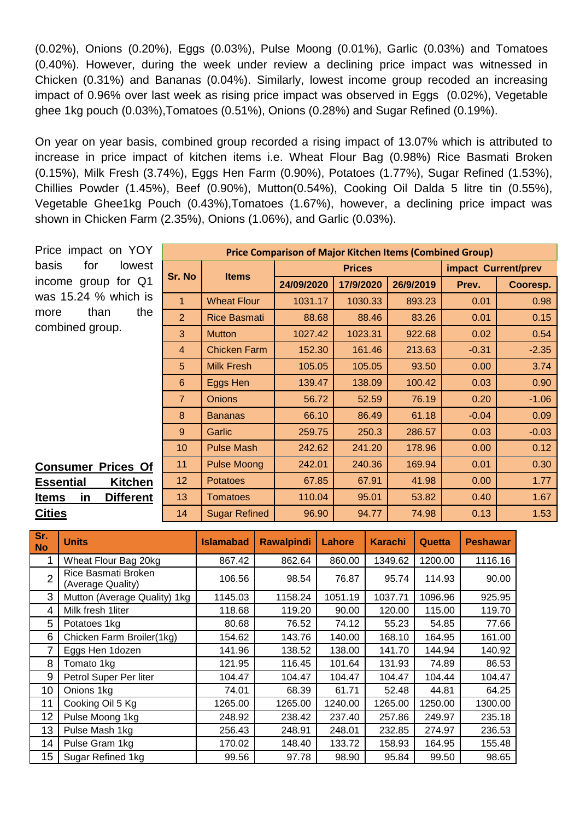(0.02%), Onions (0.20%), Eggs (0.03%), Pulse Moong (0.01%), Garlic (0.03%) and Tomatoes (0.40%). However, during the week under review a declining price impact was witnessed in Chicken (0.31%) and Bananas (0.04%). Similarly, lowest income group recoded an increasing impact of 0.96% over last week as rising price impact was observed in Eggs (0.02%), Vegetable ghee 1kg pouch (0.03%),Tomatoes (0.51%), Onions (0.28%) and Sugar Refined (0.19%).

On year on year basis, combined group recorded a rising impact of 13.07% which is attributed to increase in price impact of kitchen items i.e. Wheat Flour Bag (0.98%) Rice Basmati Broken (0.15%), Milk Fresh (3.74%), Eggs Hen Farm (0.90%), Potatoes (1.77%), Sugar Refined (1.53%), Chillies Powder (1.45%), Beef (0.90%), Mutton(0.54%), Cooking Oil Dalda 5 litre tin (0.55%), Vegetable Ghee1kg Pouch (0.43%),Tomatoes (1.67%), however, a declining price impact was shown in Chicken Farm (2.35%), Onions (1.06%), and Garlic (0.03%).

| Price impact on YOY                     | <b>Price Comparison of Major Kitchen Items (Combined Group)</b> |                      |            |               |           |         |                     |  |
|-----------------------------------------|-----------------------------------------------------------------|----------------------|------------|---------------|-----------|---------|---------------------|--|
| basis<br>for<br>lowest                  | Sr. No                                                          |                      |            | <b>Prices</b> |           |         | impact Current/prev |  |
| for Q1<br>group<br>income               |                                                                 | <b>Items</b>         | 24/09/2020 | 17/9/2020     | 26/9/2019 | Prev.   | Cooresp.            |  |
| was 15.24 % which is                    | 1                                                               | <b>Wheat Flour</b>   | 1031.17    | 1030.33       | 893.23    | 0.01    | 0.98                |  |
| the<br>than<br>more                     | $\overline{2}$                                                  | <b>Rice Basmati</b>  | 88.68      | 88.46         | 83.26     | 0.01    | 0.15                |  |
| combined group.                         | 3                                                               | <b>Mutton</b>        | 1027.42    | 1023.31       | 922.68    | 0.02    | 0.54                |  |
|                                         | $\overline{4}$                                                  | <b>Chicken Farm</b>  | 152.30     | 161.46        | 213.63    | $-0.31$ | $-2.35$             |  |
|                                         | 5                                                               | <b>Milk Fresh</b>    | 105.05     | 105.05        | 93.50     | 0.00    | 3.74                |  |
|                                         | 6                                                               | Eggs Hen             | 139.47     | 138.09        | 100.42    | 0.03    | 0.90                |  |
|                                         | $\overline{7}$                                                  | <b>Onions</b>        | 56.72      | 52.59         | 76.19     | 0.20    | $-1.06$             |  |
|                                         | 8                                                               | <b>Bananas</b>       | 66.10      | 86.49         | 61.18     | $-0.04$ | 0.09                |  |
|                                         | 9                                                               | Garlic               | 259.75     | 250.3         | 286.57    | 0.03    | $-0.03$             |  |
|                                         | 10 <sup>°</sup>                                                 | <b>Pulse Mash</b>    | 242.62     | 241.20        | 178.96    | 0.00    | 0.12                |  |
| <b>Prices Of</b><br><b>Consumer</b>     | 11                                                              | <b>Pulse Moong</b>   | 242.01     | 240.36        | 169.94    | 0.01    | 0.30                |  |
| <b>Kitchen</b><br><b>Essential</b>      | 12                                                              | <b>Potatoes</b>      | 67.85      | 67.91         | 41.98     | 0.00    | 1.77                |  |
| <b>Different</b><br><u>Items</u><br>in. | 13 <sup>°</sup>                                                 | <b>Tomatoes</b>      | 110.04     | 95.01         | 53.82     | 0.40    | 1.67                |  |
| <b>Cities</b>                           | 14                                                              | <b>Sugar Refined</b> | 96.90      | 94.77         | 74.98     | 0.13    | 1.53                |  |

| Sr.<br><b>No</b> | <b>Units</b>                             | <b>Islamabad</b> | <b>Rawalpindi</b> | Lahore  | <b>Karachi</b> | Quetta  | <b>Peshawar</b> |
|------------------|------------------------------------------|------------------|-------------------|---------|----------------|---------|-----------------|
|                  | Wheat Flour Bag 20kg                     | 867.42           | 862.64            | 860.00  | 1349.62        | 1200.00 | 1116.16         |
| $\overline{2}$   | Rice Basmati Broken<br>(Average Quality) | 106.56           | 98.54             | 76.87   | 95.74          | 114.93  | 90.00           |
| 3                | Mutton (Average Quality) 1kg             | 1145.03          | 1158.24           | 1051.19 | 1037.71        | 1096.96 | 925.95          |
| 4                | Milk fresh 1liter                        | 118.68           | 119.20            | 90.00   | 120.00         | 115.00  | 119.70          |
| 5                | Potatoes 1kg                             | 80.68            | 76.52             | 74.12   | 55.23          | 54.85   | 77.66           |
| 6                | Chicken Farm Broiler(1kg)                | 154.62           | 143.76            | 140.00  | 168.10         | 164.95  | 161.00          |
| 7                | Eggs Hen 1dozen                          | 141.96           | 138.52            | 138.00  | 141.70         | 144.94  | 140.92          |
| 8                | Tomato 1kg                               | 121.95           | 116.45            | 101.64  | 131.93         | 74.89   | 86.53           |
| 9                | Petrol Super Per liter                   | 104.47           | 104.47            | 104.47  | 104.47         | 104.44  | 104.47          |
| 10               | Onions 1kg                               | 74.01            | 68.39             | 61.71   | 52.48          | 44.81   | 64.25           |
| 11               | Cooking Oil 5 Kg                         | 1265.00          | 1265.00           | 1240.00 | 1265.00        | 1250.00 | 1300.00         |
| 12               | Pulse Moong 1kg                          | 248.92           | 238.42            | 237.40  | 257.86         | 249.97  | 235.18          |
| 13               | Pulse Mash 1kg                           | 256.43           | 248.91            | 248.01  | 232.85         | 274.97  | 236.53          |
| 14               | Pulse Gram 1kg                           | 170.02           | 148.40            | 133.72  | 158.93         | 164.95  | 155.48          |
| 15               | Sugar Refined 1kg                        | 99.56            | 97.78             | 98.90   | 95.84          | 99.50   | 98.65           |